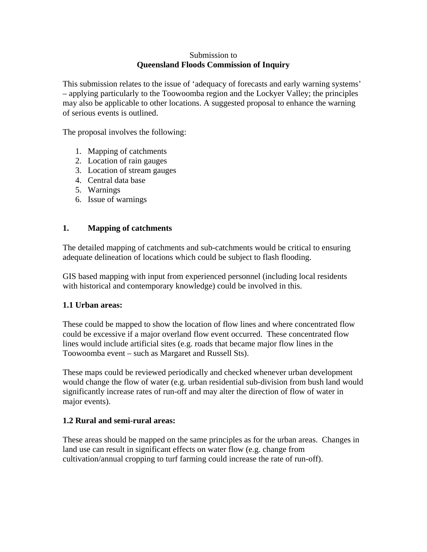#### Submission to **Queensland Floods Commission of Inquiry**

This submission relates to the issue of 'adequacy of forecasts and early warning systems' – applying particularly to the Toowoomba region and the Lockyer Valley; the principles may also be applicable to other locations. A suggested proposal to enhance the warning of serious events is outlined.

The proposal involves the following:

- 1. Mapping of catchments
- 2. Location of rain gauges
- 3. Location of stream gauges
- 4. Central data base
- 5. Warnings
- 6. Issue of warnings

### **1. Mapping of catchments**

The detailed mapping of catchments and sub-catchments would be critical to ensuring adequate delineation of locations which could be subject to flash flooding.

GIS based mapping with input from experienced personnel (including local residents with historical and contemporary knowledge) could be involved in this.

#### **1.1 Urban areas:**

These could be mapped to show the location of flow lines and where concentrated flow could be excessive if a major overland flow event occurred. These concentrated flow lines would include artificial sites (e.g. roads that became major flow lines in the Toowoomba event – such as Margaret and Russell Sts).

These maps could be reviewed periodically and checked whenever urban development would change the flow of water (e.g. urban residential sub-division from bush land would significantly increase rates of run-off and may alter the direction of flow of water in major events).

#### **1.2 Rural and semi-rural areas:**

These areas should be mapped on the same principles as for the urban areas. Changes in land use can result in significant effects on water flow (e.g. change from cultivation/annual cropping to turf farming could increase the rate of run-off).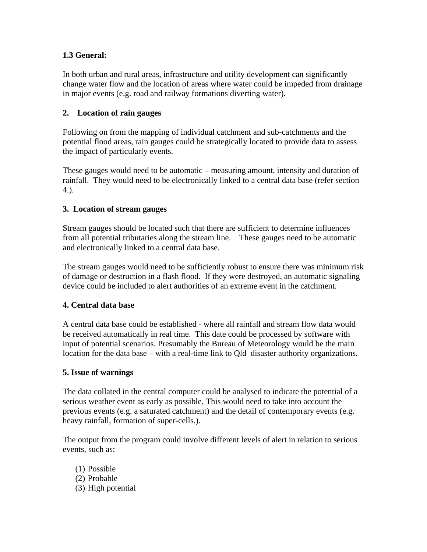# **1.3 General:**

In both urban and rural areas, infrastructure and utility development can significantly change water flow and the location of areas where water could be impeded from drainage in major events (e.g. road and railway formations diverting water).

## **2. Location of rain gauges**

Following on from the mapping of individual catchment and sub-catchments and the potential flood areas, rain gauges could be strategically located to provide data to assess the impact of particularly events.

These gauges would need to be automatic – measuring amount, intensity and duration of rainfall. They would need to be electronically linked to a central data base (refer section 4.).

# **3. Location of stream gauges**

Stream gauges should be located such that there are sufficient to determine influences from all potential tributaries along the stream line. These gauges need to be automatic and electronically linked to a central data base.

The stream gauges would need to be sufficiently robust to ensure there was minimum risk of damage or destruction in a flash flood. If they were destroyed, an automatic signaling device could be included to alert authorities of an extreme event in the catchment.

## **4. Central data base**

A central data base could be established - where all rainfall and stream flow data would be received automatically in real time. This date could be processed by software with input of potential scenarios. Presumably the Bureau of Meteorology would be the main location for the data base – with a real-time link to Qld disaster authority organizations.

## **5. Issue of warnings**

The data collated in the central computer could be analysed to indicate the potential of a serious weather event as early as possible. This would need to take into account the previous events (e.g. a saturated catchment) and the detail of contemporary events (e.g. heavy rainfall, formation of super-cells.).

The output from the program could involve different levels of alert in relation to serious events, such as:

(1) Possible (2) Probable (3) High potential